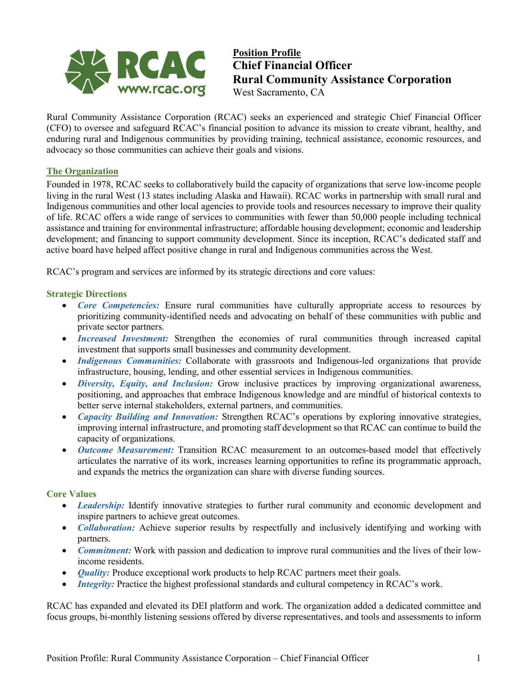

**Position Profile Chief Financial Officer Rural Community Assistance Corporation** West Sacramento, CA

Rural Community Assistance Corporation (RCAC) seeks an experienced and strategic Chief Financial Officer (CFO) to oversee and safeguard RCAC's financial position to advance its mission to create vibrant, healthy, and enduring rural and Indigenous communities by providing training, technical assistance, economic resources, and advocacy so those communities can achieve their goals and visions.

#### **The Organization**

Founded in 1978, RCAC seeks to collaboratively build the capacity of organizations that serve low-income people living in the rural West (13 states including Alaska and Hawaii). RCAC works in partnership with small rural and Indigenous communities and other local agencies to provide tools and resources necessary to improve their quality of life. RCAC offers a wide range of services to communities with fewer than 50,000 people including technical assistance and training for environmental infrastructure; affordable housing development; economic and leadership development; and financing to support community development. Since its inception, RCAC's dedicated staff and active board have helped affect positive change in rural and Indigenous communities across the West.

RCAC's program and services are informed by its strategic directions and core values:

#### **Strategic Directions**

- *Core Competencies:* Ensure rural communities have culturally appropriate access to resources by prioritizing community-identified needs and advocating on behalf of these communities with public and private sector partners.
- *Increased Investment:* Strengthen the economies of rural communities through increased capital investment that supports small businesses and community development.
- *Indigenous Communities:* Collaborate with grassroots and Indigenous-led organizations that provide infrastructure, housing, lending, and other essential services in Indigenous communities.
- *Diversity, Equity, and Inclusion:* Grow inclusive practices by improving organizational awareness, positioning, and approaches that embrace Indigenous knowledge and are mindful of historical contexts to better serve internal stakeholders, external partners, and communities.
- *Capacity Building and Innovation:* Strengthen RCAC's operations by exploring innovative strategies, improving internal infrastructure, and promoting staff development so that RCAC can continue to build the capacity of organizations.
- *Outcome Measurement:* Transition RCAC measurement to an outcomes-based model that effectively articulates the narrative of its work, increases learning opportunities to refine its programmatic approach, and expands the metrics the organization can share with diverse funding sources.

#### **Core Values**

- *Leadership:* Identify innovative strategies to further rural community and economic development and inspire partners to achieve great outcomes.
- *Collaboration:* Achieve superior results by respectfully and inclusively identifying and working with partners.
- *Commitment:* Work with passion and dedication to improve rural communities and the lives of their lowincome residents.
- *Quality:* Produce exceptional work products to help RCAC partners meet their goals.
- *Integrity:* Practice the highest professional standards and cultural competency in RCAC's work.

RCAC has expanded and elevated its DEI platform and work. The organization added a dedicated committee and focus groups, bi-monthly listening sessions offered by diverse representatives, and tools and assessments to inform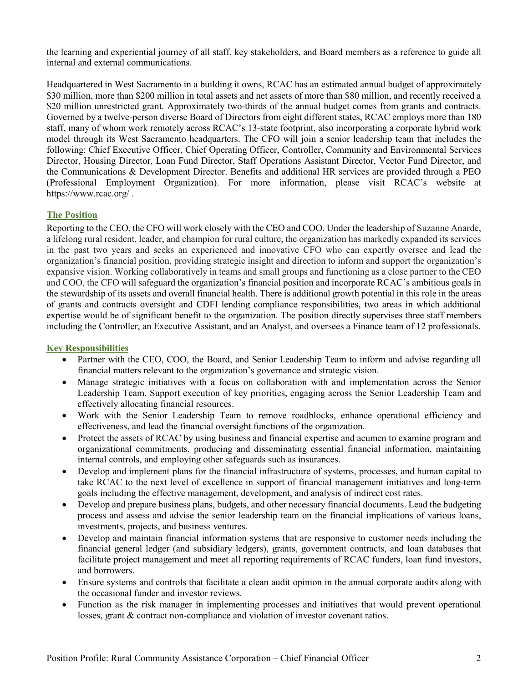the learning and experiential journey of all staff, key stakeholders, and Board members as a reference to guide all internal and external communications.

Headquartered in West Sacramento in a building it owns, RCAC has an estimated annual budget of approximately \$30 million, more than \$200 million in total assets and net assets of more than \$80 million, and recently received a \$20 million unrestricted grant. Approximately two-thirds of the annual budget comes from grants and contracts. Governed by a twelve-person diverse Board of Directors from eight different states, RCAC employs more than 180 staff, many of whom work remotely across RCAC's 13-state footprint, also incorporating a corporate hybrid work model through its West Sacramento headquarters. The CFO will join a senior leadership team that includes the following: Chief Executive Officer, Chief Operating Officer, Controller, Community and Environmental Services Director, Housing Director, Loan Fund Director, Staff Operations Assistant Director, Vector Fund Director, and the Communications & Development Director. Benefits and additional HR services are provided through a PEO (Professional Employment Organization). For more information, please visit RCAC's website at <https://www.rcac.org/> .

# **The Position**

Reporting to the CEO, the CFO will work closely with the CEO and COO. Under the leadership of Suzanne Anarde, a lifelong rural resident, leader, and champion for rural culture, the organization has markedly expanded its services in the past two years and seeks an experienced and innovative CFO who can expertly oversee and lead the organization's financial position, providing strategic insight and direction to inform and support the organization's expansive vision. Working collaboratively in teams and small groups and functioning as a close partner to the CEO and COO, the CFO will safeguard the organization's financial position and incorporate RCAC's ambitious goals in the stewardship of its assets and overall financial health. There is additional growth potential in this role in the areas of grants and contracts oversight and CDFI lending compliance responsibilities, two areas in which additional expertise would be of significant benefit to the organization. The position directly supervises three staff members including the Controller, an Executive Assistant, and an Analyst, and oversees a Finance team of 12 professionals.

# **Key Responsibilities**

- Partner with the CEO, COO, the Board, and Senior Leadership Team to inform and advise regarding all financial matters relevant to the organization's governance and strategic vision.
- Manage strategic initiatives with a focus on collaboration with and implementation across the Senior Leadership Team. Support execution of key priorities, engaging across the Senior Leadership Team and effectively allocating financial resources.
- Work with the Senior Leadership Team to remove roadblocks, enhance operational efficiency and effectiveness, and lead the financial oversight functions of the organization.
- Protect the assets of RCAC by using business and financial expertise and acumen to examine program and organizational commitments, producing and disseminating essential financial information, maintaining internal controls, and employing other safeguards such as insurances.
- Develop and implement plans for the financial infrastructure of systems, processes, and human capital to take RCAC to the next level of excellence in support of financial management initiatives and long-term goals including the effective management, development, and analysis of indirect cost rates.
- Develop and prepare business plans, budgets, and other necessary financial documents. Lead the budgeting process and assess and advise the senior leadership team on the financial implications of various loans, investments, projects, and business ventures.
- Develop and maintain financial information systems that are responsive to customer needs including the financial general ledger (and subsidiary ledgers), grants, government contracts, and loan databases that facilitate project management and meet all reporting requirements of RCAC funders, loan fund investors, and borrowers.
- Ensure systems and controls that facilitate a clean audit opinion in the annual corporate audits along with the occasional funder and investor reviews.
- Function as the risk manager in implementing processes and initiatives that would prevent operational losses, grant & contract non-compliance and violation of investor covenant ratios.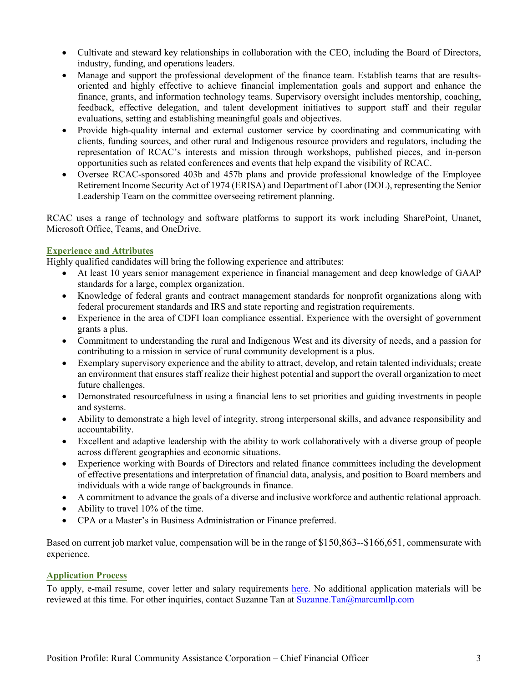- Cultivate and steward key relationships in collaboration with the CEO, including the Board of Directors, industry, funding, and operations leaders.
- Manage and support the professional development of the finance team. Establish teams that are resultsoriented and highly effective to achieve financial implementation goals and support and enhance the finance, grants, and information technology teams. Supervisory oversight includes mentorship, coaching, feedback, effective delegation, and talent development initiatives to support staff and their regular evaluations, setting and establishing meaningful goals and objectives.
- Provide high-quality internal and external customer service by coordinating and communicating with clients, funding sources, and other rural and Indigenous resource providers and regulators, including the representation of RCAC's interests and mission through workshops, published pieces, and in-person opportunities such as related conferences and events that help expand the visibility of RCAC.
- Oversee RCAC-sponsored 403b and 457b plans and provide professional knowledge of the Employee Retirement Income Security Act of 1974 (ERISA) and Department of Labor (DOL), representing the Senior Leadership Team on the committee overseeing retirement planning.

RCAC uses a range of technology and software platforms to support its work including SharePoint, Unanet, Microsoft Office, Teams, and OneDrive.

# **Experience and Attributes**

Highly qualified candidates will bring the following experience and attributes:

- At least 10 years senior management experience in financial management and deep knowledge of GAAP standards for a large, complex organization.
- Knowledge of federal grants and contract management standards for nonprofit organizations along with federal procurement standards and IRS and state reporting and registration requirements.
- Experience in the area of CDFI loan compliance essential. Experience with the oversight of government grants a plus.
- Commitment to understanding the rural and Indigenous West and its diversity of needs, and a passion for contributing to a mission in service of rural community development is a plus.
- Exemplary supervisory experience and the ability to attract, develop, and retain talented individuals; create an environment that ensures staff realize their highest potential and support the overall organization to meet future challenges.
- Demonstrated resourcefulness in using a financial lens to set priorities and guiding investments in people and systems.
- Ability to demonstrate a high level of integrity, strong interpersonal skills, and advance responsibility and accountability.
- Excellent and adaptive leadership with the ability to work collaboratively with a diverse group of people across different geographies and economic situations.
- Experience working with Boards of Directors and related finance committees including the development of effective presentations and interpretation of financial data, analysis, and position to Board members and individuals with a wide range of backgrounds in finance.
- A commitment to advance the goals of a diverse and inclusive workforce and authentic relational approach.
- Ability to travel 10% of the time.
- CPA or a Master's in Business Administration or Finance preferred.

Based on current job market value, compensation will be in the range of \$150,863--\$166,651, commensurate with experience.

# **Application Process**

To apply, e-mail resume, cover letter and salary requirements [here.](https://curawebservices.mindscope.com/RAFFA04463_CURA/Aspx/form.aspx?lang=en&Job_ID=508&source=Marcum) No additional application materials will be reviewed at this time. For other inquiries, contact Suzanne Tan at [Suzanne.Tan@marcumllp.com](mailto:Suzanne.Tan@marcumllp.com)